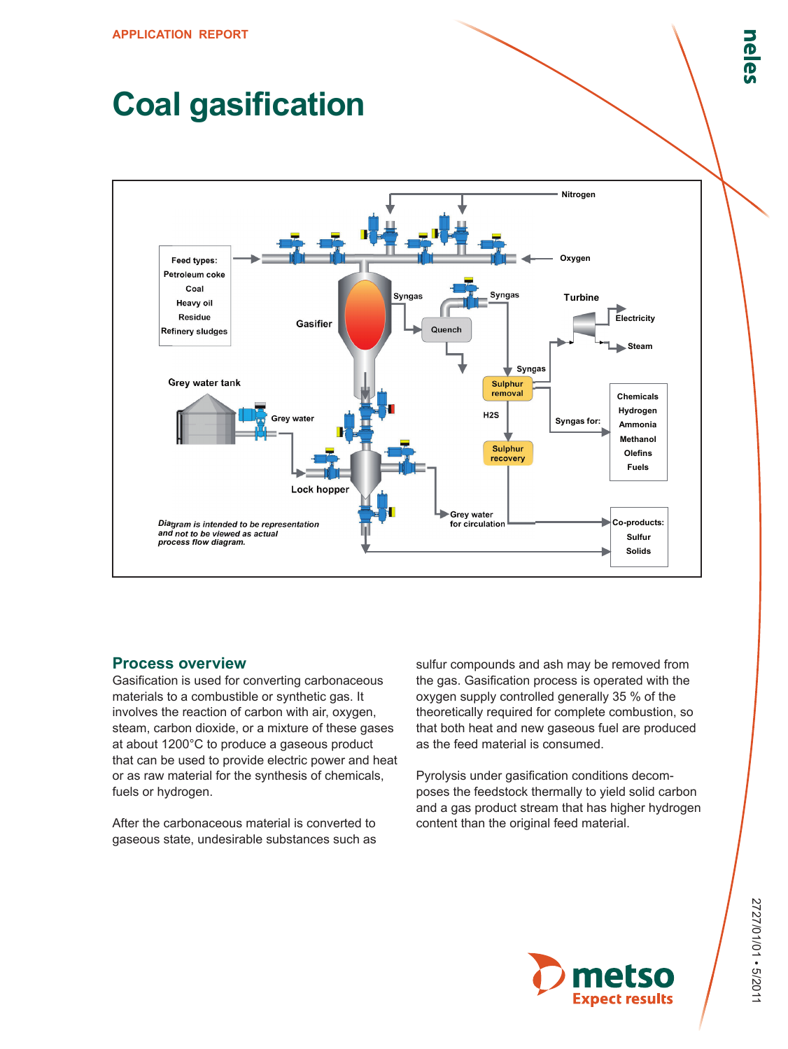# **Coal gasification**



## **Process overview**

Gasification is used for converting carbonaceous materials to a combustible or synthetic gas. It involves the reaction of carbon with air, oxygen, steam, carbon dioxide, or a mixture of these gases at about 1200°C to produce a gaseous product that can be used to provide electric power and heat or as raw material for the synthesis of chemicals, fuels or hydrogen.

After the carbonaceous material is converted to gaseous state, undesirable substances such as sulfur compounds and ash may be removed from the gas. Gasification process is operated with the oxygen supply controlled generally 35 % of the theoretically required for complete combustion, so that both heat and new gaseous fuel are produced as the feed material is consumed.

Pyrolysis under gasification conditions decomposes the feedstock thermally to yield solid carbon and a gas product stream that has higher hydrogen content than the original feed material.

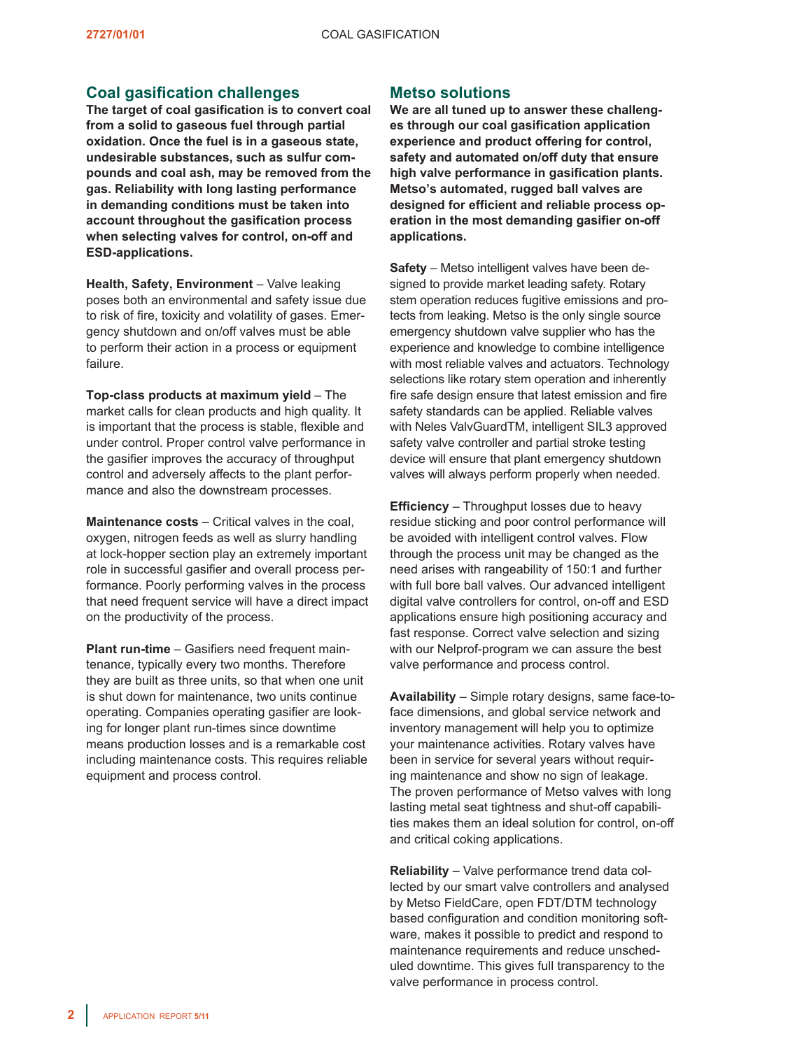# **Coal gasification challenges**

**The target of coal gasification is to convert coal from a solid to gaseous fuel through partial oxidation. Once the fuel is in a gaseous state, undesirable substances, such as sulfur compounds and coal ash, may be removed from the gas. Reliability with long lasting performance in demanding conditions must be taken into account throughout the gasification process when selecting valves for control, on-off and ESD-applications.**

**Health, Safety, Environment** – Valve leaking poses both an environmental and safety issue due to risk of fire, toxicity and volatility of gases. Emergency shutdown and on/off valves must be able to perform their action in a process or equipment failure.

**Top-class products at maximum yield** – The market calls for clean products and high quality. It is important that the process is stable, flexible and under control. Proper control valve performance in the gasifier improves the accuracy of throughput control and adversely affects to the plant performance and also the downstream processes.

**Maintenance costs** – Critical valves in the coal, oxygen, nitrogen feeds as well as slurry handling at lock-hopper section play an extremely important role in successful gasifier and overall process performance. Poorly performing valves in the process that need frequent service will have a direct impact on the productivity of the process.

**Plant run-time** – Gasifiers need frequent maintenance, typically every two months. Therefore they are built as three units, so that when one unit is shut down for maintenance, two units continue operating. Companies operating gasifier are looking for longer plant run-times since downtime means production losses and is a remarkable cost including maintenance costs. This requires reliable equipment and process control.

# **Metso solutions**

**We are all tuned up to answer these challenges through our coal gasification application experience and product offering for control, safety and automated on/off duty that ensure high valve performance in gasification plants. Metso's automated, rugged ball valves are designed for efficient and reliable process operation in the most demanding gasifier on-off applications.**

**Safety** – Metso intelligent valves have been designed to provide market leading safety. Rotary stem operation reduces fugitive emissions and protects from leaking. Metso is the only single source emergency shutdown valve supplier who has the experience and knowledge to combine intelligence with most reliable valves and actuators. Technology selections like rotary stem operation and inherently fire safe design ensure that latest emission and fire safety standards can be applied. Reliable valves with Neles ValvGuardTM, intelligent SIL3 approved safety valve controller and partial stroke testing device will ensure that plant emergency shutdown valves will always perform properly when needed.

**Efficiency** – Throughput losses due to heavy residue sticking and poor control performance will be avoided with intelligent control valves. Flow through the process unit may be changed as the need arises with rangeability of 150:1 and further with full bore ball valves. Our advanced intelligent digital valve controllers for control, on-off and ESD applications ensure high positioning accuracy and fast response. Correct valve selection and sizing with our Nelprof-program we can assure the best valve performance and process control.

**Availability** – Simple rotary designs, same face-toface dimensions, and global service network and inventory management will help you to optimize your maintenance activities. Rotary valves have been in service for several years without requiring maintenance and show no sign of leakage. The proven performance of Metso valves with long lasting metal seat tightness and shut-off capabilities makes them an ideal solution for control, on-off and critical coking applications.

**Reliability** – Valve performance trend data collected by our smart valve controllers and analysed by Metso FieldCare, open FDT/DTM technology based configuration and condition monitoring software, makes it possible to predict and respond to maintenance requirements and reduce unscheduled downtime. This gives full transparency to the valve performance in process control.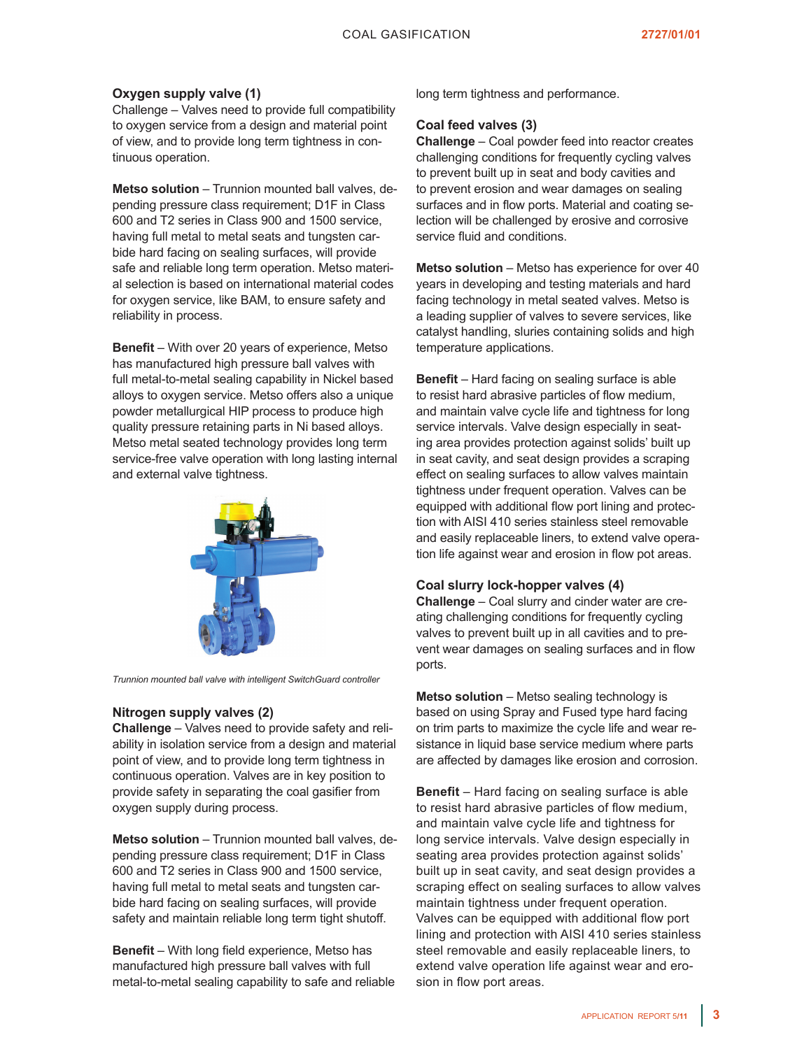#### **Oxygen supply valve (1)**

Challenge – Valves need to provide full compatibility to oxygen service from a design and material point of view, and to provide long term tightness in continuous operation.

**Metso solution** – Trunnion mounted ball valves, depending pressure class requirement; D1F in Class 600 and T2 series in Class 900 and 1500 service, having full metal to metal seats and tungsten carbide hard facing on sealing surfaces, will provide safe and reliable long term operation. Metso material selection is based on international material codes for oxygen service, like BAM, to ensure safety and reliability in process.

**Benefit** – With over 20 years of experience, Metso has manufactured high pressure ball valves with full metal-to-metal sealing capability in Nickel based alloys to oxygen service. Metso offers also a unique powder metallurgical HIP process to produce high quality pressure retaining parts in Ni based alloys. Metso metal seated technology provides long term service-free valve operation with long lasting internal and external valve tightness.



*Trunnion mounted ball valve with intelligent SwitchGuard controller*

#### **Nitrogen supply valves (2)**

**Challenge** – Valves need to provide safety and reliability in isolation service from a design and material point of view, and to provide long term tightness in continuous operation. Valves are in key position to provide safety in separating the coal gasifier from oxygen supply during process.

**Metso solution** – Trunnion mounted ball valves, depending pressure class requirement; D1F in Class 600 and T2 series in Class 900 and 1500 service, having full metal to metal seats and tungsten carbide hard facing on sealing surfaces, will provide safety and maintain reliable long term tight shutoff.

**Benefit** – With long field experience, Metso has manufactured high pressure ball valves with full metal-to-metal sealing capability to safe and reliable long term tightness and performance.

#### **Coal feed valves (3)**

**Challenge** – Coal powder feed into reactor creates challenging conditions for frequently cycling valves to prevent built up in seat and body cavities and to prevent erosion and wear damages on sealing surfaces and in flow ports. Material and coating selection will be challenged by erosive and corrosive service fluid and conditions.

**Metso solution** – Metso has experience for over 40 years in developing and testing materials and hard facing technology in metal seated valves. Metso is a leading supplier of valves to severe services, like catalyst handling, sluries containing solids and high temperature applications.

**Benefit** – Hard facing on sealing surface is able to resist hard abrasive particles of flow medium, and maintain valve cycle life and tightness for long service intervals. Valve design especially in seating area provides protection against solids' built up in seat cavity, and seat design provides a scraping effect on sealing surfaces to allow valves maintain tightness under frequent operation. Valves can be equipped with additional flow port lining and protection with AISI 410 series stainless steel removable and easily replaceable liners, to extend valve operation life against wear and erosion in flow pot areas.

#### **Coal slurry lock-hopper valves (4)**

**Challenge** – Coal slurry and cinder water are creating challenging conditions for frequently cycling valves to prevent built up in all cavities and to prevent wear damages on sealing surfaces and in flow ports.

**Metso solution** – Metso sealing technology is based on using Spray and Fused type hard facing on trim parts to maximize the cycle life and wear resistance in liquid base service medium where parts are affected by damages like erosion and corrosion.

**Benefit** – Hard facing on sealing surface is able to resist hard abrasive particles of flow medium, and maintain valve cycle life and tightness for long service intervals. Valve design especially in seating area provides protection against solids' built up in seat cavity, and seat design provides a scraping effect on sealing surfaces to allow valves maintain tightness under frequent operation. Valves can be equipped with additional flow port lining and protection with AISI 410 series stainless steel removable and easily replaceable liners, to extend valve operation life against wear and erosion in flow port areas.